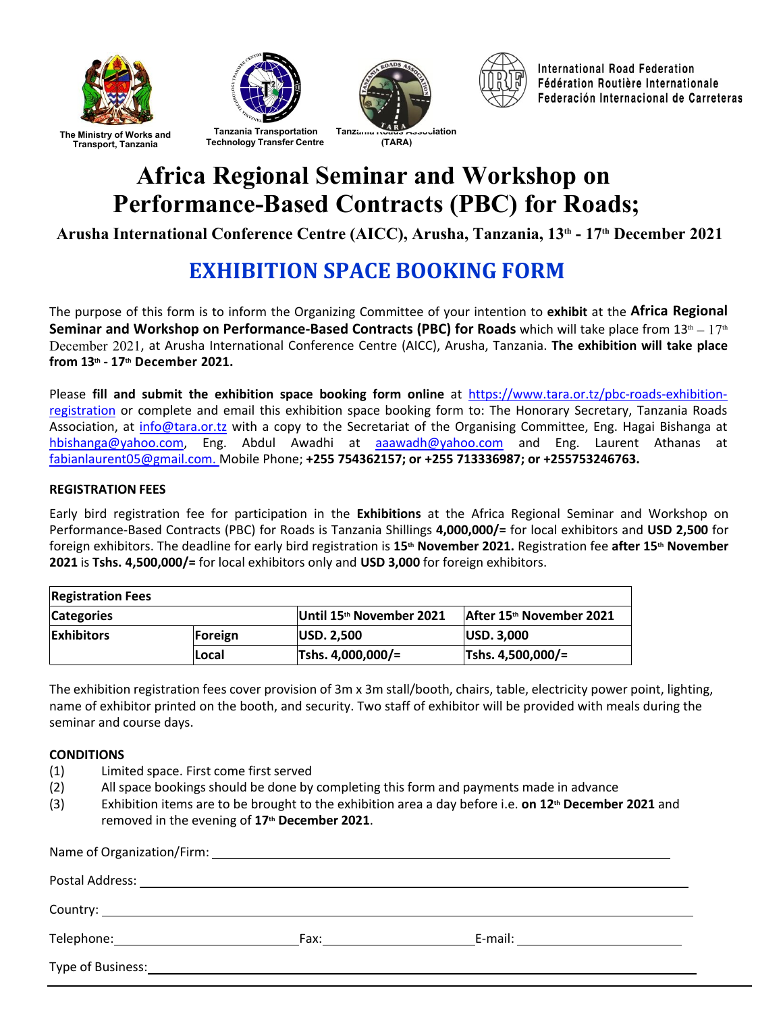



**Technology Transfer Centre**



**International Road Federation** Fédération Routière Internationale Federación Internacional de Carreteras

**The Ministry of Works and Transport, Tanzania**

## **Africa Regional Seminar and Workshop on Performance-Based Contracts (PBC) for Roads;**

**Arusha International Conference Centre (AICC), Arusha, Tanzania, 13th - 17th December 2021**

# **EXHIBITION SPACE BOOKING FORM**

The purpose of this form is to inform the Organizing Committee of your intention to **exhibit** at the **Africa Regional**  Seminar and Workshop on Performance-Based Contracts (PBC) for Roads which will take place from 13<sup>th</sup> – 17<sup>th</sup> December 2021, at Arusha International Conference Centre (AICC), Arusha, Tanzania. **The exhibition will take place from 13th - 17th December 2021.**

Please **fill and submit the exhibition space booking form online** at [https://www.tara.or.tz/pbc-roads-exhibition](https://www.tara.or.tz/pbc-roads-exhibition-registration)[registration](https://www.tara.or.tz/pbc-roads-exhibition-registration) or complete and email this exhibition space booking form to: The Honorary Secretary, Tanzania Roads Association, at [info@tara.or.tz](mailto:info@tara.or.tz) with a copy to the Secretariat of the Organising Committee, Eng. Hagai Bishanga at [hbishanga@yahoo.com,](mailto:hbishanga@yahoo.com) Eng. Abdul Awadhi at [aaawadh@yahoo.com](mailto:aaawadh@yahoo.com) and Eng. Laurent Athanas at [fabianlaurent05@gmail.com](mailto:fabianlaurent05@gmail.com). Mobile Phone; **+255 754362157; or +255 713336987; or +255753246763.**

## **REGISTRATION FEES**

Early bird registration fee for participation in the **Exhibitions** at the Africa Regional Seminar and Workshop on Performance-Based Contracts (PBC) for Roads is Tanzania Shillings **4,000,000/=** for local exhibitors and **USD 2,500** for foreign exhibitors. The deadline for early bird registration is **15th November 2021.** Registration fee **after 15th November 2021** is **Tshs. 4,500,000/=** for local exhibitors only and **USD 3,000** for foreign exhibitors.

| <b>Registration Fees</b> |              |                          |                              |
|--------------------------|--------------|--------------------------|------------------------------|
| <b>Categories</b>        |              | Until 15th November 2021 | After 15th November 2021     |
| Exhibitors               | Foreign      | <b>IUSD. 2.500</b>       | <b>USD. 3.000</b>            |
|                          | <b>Local</b> | Tshs. 4,000,000/=        | $\textsf{Tshs. 4,500,000}/=$ |

The exhibition registration fees cover provision of 3m x 3m stall/booth, chairs, table, electricity power point, lighting, name of exhibitor printed on the booth, and security. Two staff of exhibitor will be provided with meals during the seminar and course days.

## **CONDITIONS**

- (1) Limited space. First come first served
- (2) All space bookings should be done by completing this form and payments made in advance
- (3) Exhibition items are to be brought to the exhibition area a day before i.e. **on 12th December 2021** and removed in the evening of **17th December 2021**.

| Type of Business: | <u>and the state of the state of the state of the state of the state of the state of the state of the state of th</u> |  |
|-------------------|-----------------------------------------------------------------------------------------------------------------------|--|